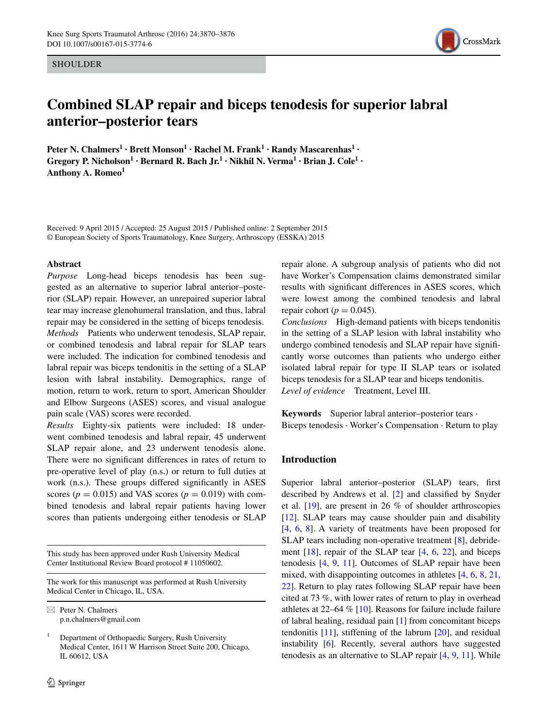SHOULDER



# **Combined SLAP repair and biceps tenodesis for superior labral anterior–posterior tears**

**Peter N. Chalmers1 · Brett Monson1 · Rachel M. Frank1 · Randy Mascarenhas<sup>1</sup> · Gregory P. Nicholson<sup>1</sup> · Bernard R. Bach Jr.<sup>1</sup> · Nikhil N. Verma1 · Brian J. Cole1 · Anthony A. Romeo<sup>1</sup>**

Received: 9 April 2015 / Accepted: 25 August 2015 / Published online: 2 September 2015 © European Society of Sports Traumatology, Knee Surgery, Arthroscopy (ESSKA) 2015

### **Abstract**

*Purpose* Long-head biceps tenodesis has been suggested as an alternative to superior labral anterior–posterior (SLAP) repair. However, an unrepaired superior labral tear may increase glenohumeral translation, and thus, labral repair may be considered in the setting of biceps tenodesis. *Methods* Patients who underwent tenodesis, SLAP repair, or combined tenodesis and labral repair for SLAP tears were included. The indication for combined tenodesis and labral repair was biceps tendonitis in the setting of a SLAP lesion with labral instability. Demographics, range of motion, return to work, return to sport, American Shoulder and Elbow Surgeons (ASES) scores, and visual analogue pain scale (VAS) scores were recorded.

*Results* Eighty-six patients were included: 18 underwent combined tenodesis and labral repair, 45 underwent SLAP repair alone, and 23 underwent tenodesis alone. There were no significant differences in rates of return to pre-operative level of play (n.s.) or return to full duties at work (n.s.). These groups differed significantly in ASES scores ( $p = 0.015$ ) and VAS scores ( $p = 0.019$ ) with combined tenodesis and labral repair patients having lower scores than patients undergoing either tenodesis or SLAP

This study has been approved under Rush University Medical Center Institutional Review Board protocol # 11050602.

The work for this manuscript was performed at Rush University Medical Center in Chicago, IL, USA.

 $\boxtimes$  Peter N. Chalmers p.n.chalmers@gmail.com repair alone. A subgroup analysis of patients who did not have Worker's Compensation claims demonstrated similar results with significant differences in ASES scores, which were lowest among the combined tenodesis and labral repair cohort ( $p = 0.045$ ).

*Conclusions* High-demand patients with biceps tendonitis in the setting of a SLAP lesion with labral instability who undergo combined tenodesis and SLAP repair have significantly worse outcomes than patients who undergo either isolated labral repair for type II SLAP tears or isolated biceps tenodesis for a SLAP tear and biceps tendonitis. *Level of evidence* Treatment, Level III.

**Keywords** Superior labral anterior–posterior tears · Biceps tenodesis · Worker's Compensation · Return to play

## **Introduction**

Superior labral anterior–posterior (SLAP) tears, first described by Andrews et al. [2] and classified by Snyder et al. [19], are present in 26 % of shoulder arthroscopies [12]. SLAP tears may cause shoulder pain and disability [4, 6, 8]. A variety of treatments have been proposed for SLAP tears including non-operative treatment [8], debridement  $[18]$ , repair of the SLAP tear  $[4, 6, 22]$ , and biceps tenodesis [4, 9, 11]. Outcomes of SLAP repair have been mixed, with disappointing outcomes in athletes [4, 6, 8, 21, 22]. Return to play rates following SLAP repair have been cited at 73 %, with lower rates of return to play in overhead athletes at 22–64 % [10]. Reasons for failure include failure of labral healing, residual pain [1] from concomitant biceps tendonitis [11], stiffening of the labrum [20], and residual instability [6]. Recently, several authors have suggested tenodesis as an alternative to SLAP repair [4, 9, 11]. While

<sup>1</sup> Department of Orthopaedic Surgery, Rush University Medical Center, 1611 W Harrison Street Suite 200, Chicago, IL 60612, USA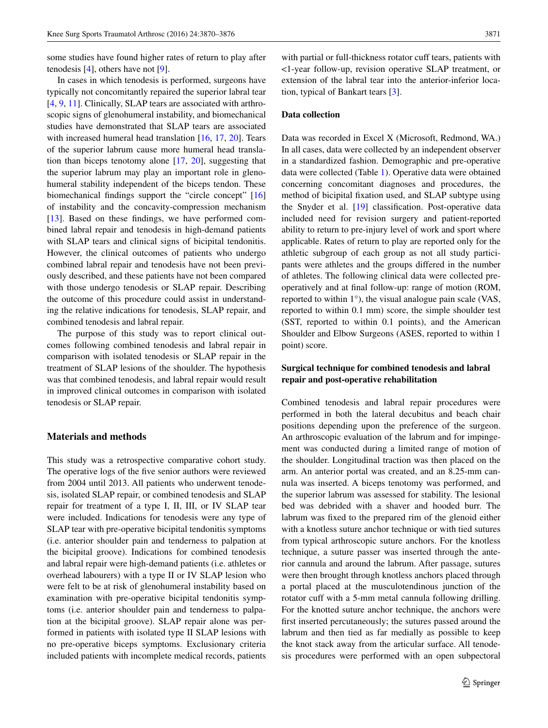some studies have found higher rates of return to play after tenodesis [4], others have not [9].

In cases in which tenodesis is performed, surgeons have typically not concomitantly repaired the superior labral tear [4, 9, 11]. Clinically, SLAP tears are associated with arthroscopic signs of glenohumeral instability, and biomechanical studies have demonstrated that SLAP tears are associated with increased humeral head translation [16, 17, 20]. Tears of the superior labrum cause more humeral head translation than biceps tenotomy alone [17, 20], suggesting that the superior labrum may play an important role in glenohumeral stability independent of the biceps tendon. These biomechanical findings support the "circle concept" [16] of instability and the concavity-compression mechanism [13]. Based on these findings, we have performed combined labral repair and tenodesis in high-demand patients with SLAP tears and clinical signs of bicipital tendonitis. However, the clinical outcomes of patients who undergo combined labral repair and tenodesis have not been previously described, and these patients have not been compared with those undergo tenodesis or SLAP repair. Describing the outcome of this procedure could assist in understanding the relative indications for tenodesis, SLAP repair, and combined tenodesis and labral repair.

The purpose of this study was to report clinical outcomes following combined tenodesis and labral repair in comparison with isolated tenodesis or SLAP repair in the treatment of SLAP lesions of the shoulder. The hypothesis was that combined tenodesis, and labral repair would result in improved clinical outcomes in comparison with isolated tenodesis or SLAP repair.

# **Materials and methods**

This study was a retrospective comparative cohort study. The operative logs of the five senior authors were reviewed from 2004 until 2013. All patients who underwent tenodesis, isolated SLAP repair, or combined tenodesis and SLAP repair for treatment of a type I, II, III, or IV SLAP tear were included. Indications for tenodesis were any type of SLAP tear with pre-operative bicipital tendonitis symptoms (i.e. anterior shoulder pain and tenderness to palpation at the bicipital groove). Indications for combined tenodesis and labral repair were high-demand patients (i.e. athletes or overhead labourers) with a type II or IV SLAP lesion who were felt to be at risk of glenohumeral instability based on examination with pre-operative bicipital tendonitis symptoms (i.e. anterior shoulder pain and tenderness to palpation at the bicipital groove). SLAP repair alone was performed in patients with isolated type II SLAP lesions with no pre-operative biceps symptoms. Exclusionary criteria included patients with incomplete medical records, patients

with partial or full-thickness rotator cuff tears, patients with <1-year follow-up, revision operative SLAP treatment, or extension of the labral tear into the anterior-inferior location, typical of Bankart tears [3].

## **Data collection**

Data was recorded in Excel X (Microsoft, Redmond, WA.) In all cases, data were collected by an independent observer in a standardized fashion. Demographic and pre-operative data were collected (Table 1). Operative data were obtained concerning concomitant diagnoses and procedures, the method of bicipital fixation used, and SLAP subtype using the Snyder et al. [19] classification. Post-operative data included need for revision surgery and patient-reported ability to return to pre-injury level of work and sport where applicable. Rates of return to play are reported only for the athletic subgroup of each group as not all study participants were athletes and the groups differed in the number of athletes. The following clinical data were collected preoperatively and at final follow-up: range of motion (ROM, reported to within 1°), the visual analogue pain scale (VAS, reported to within 0.1 mm) score, the simple shoulder test (SST, reported to within 0.1 points), and the American Shoulder and Elbow Surgeons (ASES, reported to within 1 point) score.

# **Surgical technique for combined tenodesis and labral repair and post‑operative rehabilitation**

Combined tenodesis and labral repair procedures were performed in both the lateral decubitus and beach chair positions depending upon the preference of the surgeon. An arthroscopic evaluation of the labrum and for impingement was conducted during a limited range of motion of the shoulder. Longitudinal traction was then placed on the arm. An anterior portal was created, and an 8.25-mm cannula was inserted. A biceps tenotomy was performed, and the superior labrum was assessed for stability. The lesional bed was debrided with a shaver and hooded burr. The labrum was fixed to the prepared rim of the glenoid either with a knotless suture anchor technique or with tied sutures from typical arthroscopic suture anchors. For the knotless technique, a suture passer was inserted through the anterior cannula and around the labrum. After passage, sutures were then brought through knotless anchors placed through a portal placed at the musculotendinous junction of the rotator cuff with a 5-mm metal cannula following drilling. For the knotted suture anchor technique, the anchors were first inserted percutaneously; the sutures passed around the labrum and then tied as far medially as possible to keep the knot stack away from the articular surface. All tenodesis procedures were performed with an open subpectoral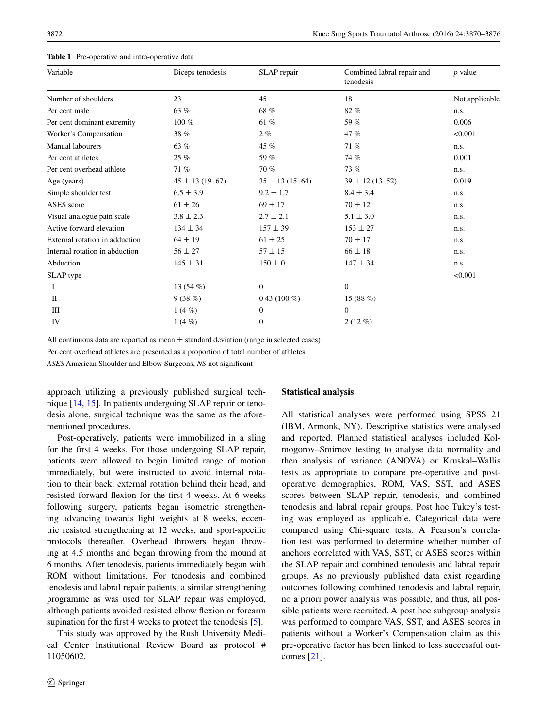| Variable                       | Biceps tenodesis   | SLAP repair        | Combined labral repair and<br>tenodesis | $p$ value      |
|--------------------------------|--------------------|--------------------|-----------------------------------------|----------------|
| Number of shoulders            | 23                 | 45                 | 18                                      | Not applicable |
| Per cent male                  | 63 %               | 68 %               | 82%                                     | n.s.           |
| Per cent dominant extremity    | $100\%$            | 61 %               | 59%                                     | 0.006          |
| Worker's Compensation          | 38 %               | 2%                 | 47 %                                    | < 0.001        |
| Manual labourers               | 63 %               | 45 %               | 71%                                     | n.s.           |
| Per cent athletes              | $25\%$             | 59 %               | 74 %                                    | 0.001          |
| Per cent overhead athlete      | 71 %               | 70%                | 73%                                     | n.s.           |
| Age (years)                    | $45 \pm 13(19-67)$ | $35 \pm 13(15-64)$ | $39 \pm 12(13 - 52)$                    | 0.019          |
| Simple shoulder test           | $6.5 \pm 3.9$      | $9.2 \pm 1.7$      | $8.4 \pm 3.4$                           | n.s.           |
| ASES score                     | $61 \pm 26$        | $69 \pm 17$        | $70 \pm 12$                             | n.s.           |
| Visual analogue pain scale     | $3.8 \pm 2.3$      | $2.7 \pm 2.1$      | $5.1 \pm 3.0$                           | n.s.           |
| Active forward elevation       | $134 \pm 34$       | $157 \pm 39$       | $153 \pm 27$                            | n.s.           |
| External rotation in adduction | $64 \pm 19$        | $61 \pm 25$        | $70 \pm 17$                             | n.s.           |
| Internal rotation in abduction | $56 \pm 27$        | $57 \pm 15$        | $66 \pm 18$                             | n.s.           |
| Abduction                      | $145 \pm 31$       | $150 \pm 0$        | $147 \pm 34$                            | n.s.           |
| SLAP type                      |                    |                    |                                         | < 0.001        |
| Ι                              | 13 $(54\%)$        | $\mathbf{0}$       | $\theta$                                |                |
| П                              | 9(38%)             | $0.43(100\%)$      | 15 $(88\%)$                             |                |
| Ш                              | 1(4%)              | $\mathbf{0}$       | $\boldsymbol{0}$                        |                |
| IV                             | 1(4%)              | $\mathbf{0}$       | 2(12%)                                  |                |

**Table 1** Pre-operative and intra-operative data

All continuous data are reported as mean  $\pm$  standard deviation (range in selected cases)

Per cent overhead athletes are presented as a proportion of total number of athletes

*ASES* American Shoulder and Elbow Surgeons, *NS* not significant

approach utilizing a previously published surgical technique [14, 15]. In patients undergoing SLAP repair or tenodesis alone, surgical technique was the same as the aforementioned procedures.

Post-operatively, patients were immobilized in a sling for the first 4 weeks. For those undergoing SLAP repair, patients were allowed to begin limited range of motion immediately, but were instructed to avoid internal rotation to their back, external rotation behind their head, and resisted forward flexion for the first 4 weeks. At 6 weeks following surgery, patients began isometric strengthening advancing towards light weights at 8 weeks, eccentric resisted strengthening at 12 weeks, and sport-specific protocols thereafter. Overhead throwers began throwing at 4.5 months and began throwing from the mound at 6 months. After tenodesis, patients immediately began with ROM without limitations. For tenodesis and combined tenodesis and labral repair patients, a similar strengthening programme as was used for SLAP repair was employed, although patients avoided resisted elbow flexion or forearm supination for the first 4 weeks to protect the tenodesis [5].

This study was approved by the Rush University Medical Center Institutional Review Board as protocol # 11050602.

#### **Statistical analysis**

All statistical analyses were performed using SPSS 21 (IBM, Armonk, NY). Descriptive statistics were analysed and reported. Planned statistical analyses included Kolmogorov–Smirnov testing to analyse data normality and then analysis of variance (ANOVA) or Kruskal–Wallis tests as appropriate to compare pre-operative and postoperative demographics, ROM, VAS, SST, and ASES scores between SLAP repair, tenodesis, and combined tenodesis and labral repair groups. Post hoc Tukey's testing was employed as applicable. Categorical data were compared using Chi-square tests. A Pearson's correlation test was performed to determine whether number of anchors correlated with VAS, SST, or ASES scores within the SLAP repair and combined tenodesis and labral repair groups. As no previously published data exist regarding outcomes following combined tenodesis and labral repair, no a priori power analysis was possible, and thus, all possible patients were recruited. A post hoc subgroup analysis was performed to compare VAS, SST, and ASES scores in patients without a Worker's Compensation claim as this pre-operative factor has been linked to less successful outcomes [21].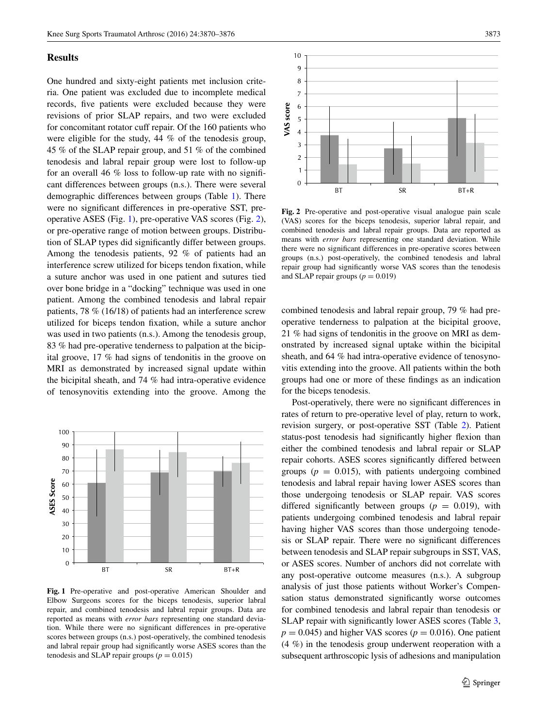#### **Results**

One hundred and sixty-eight patients met inclusion criteria. One patient was excluded due to incomplete medical records, five patients were excluded because they were revisions of prior SLAP repairs, and two were excluded for concomitant rotator cuff repair. Of the 160 patients who were eligible for the study, 44 % of the tenodesis group, 45 % of the SLAP repair group, and 51 % of the combined tenodesis and labral repair group were lost to follow-up for an overall 46 % loss to follow-up rate with no significant differences between groups (n.s.). There were several demographic differences between groups (Table 1). There were no significant differences in pre-operative SST, preoperative ASES (Fig. 1), pre-operative VAS scores (Fig. 2), or pre-operative range of motion between groups. Distribution of SLAP types did significantly differ between groups. Among the tenodesis patients, 92 % of patients had an interference screw utilized for biceps tendon fixation, while a suture anchor was used in one patient and sutures tied over bone bridge in a "docking" technique was used in one patient. Among the combined tenodesis and labral repair patients, 78 % (16/18) of patients had an interference screw utilized for biceps tendon fixation, while a suture anchor was used in two patients (n.s.). Among the tenodesis group, 83 % had pre-operative tenderness to palpation at the bicipital groove, 17 % had signs of tendonitis in the groove on MRI as demonstrated by increased signal update within the bicipital sheath, and 74 % had intra-operative evidence of tenosynovitis extending into the groove. Among the



**Fig. 1** Pre-operative and post-operative American Shoulder and Elbow Surgeons scores for the biceps tenodesis, superior labral repair, and combined tenodesis and labral repair groups. Data are reported as means with *error bars* representing one standard deviation. While there were no significant differences in pre-operative scores between groups (n.s.) post-operatively, the combined tenodesis and labral repair group had significantly worse ASES scores than the tenodesis and SLAP repair groups ( $p = 0.015$ )



**Fig. 2** Pre-operative and post-operative visual analogue pain scale (VAS) scores for the biceps tenodesis, superior labral repair, and combined tenodesis and labral repair groups. Data are reported as means with *error bars* representing one standard deviation. While there were no significant differences in pre-operative scores between groups (n.s.) post-operatively, the combined tenodesis and labral repair group had significantly worse VAS scores than the tenodesis and SLAP repair groups  $(p = 0.019)$ 

combined tenodesis and labral repair group, 79 % had preoperative tenderness to palpation at the bicipital groove, 21 % had signs of tendonitis in the groove on MRI as demonstrated by increased signal uptake within the bicipital sheath, and 64 % had intra-operative evidence of tenosynovitis extending into the groove. All patients within the both groups had one or more of these findings as an indication for the biceps tenodesis.

Post-operatively, there were no significant differences in rates of return to pre-operative level of play, return to work, revision surgery, or post-operative SST (Table 2). Patient status-post tenodesis had significantly higher flexion than either the combined tenodesis and labral repair or SLAP repair cohorts. ASES scores significantly differed between groups  $(p = 0.015)$ , with patients undergoing combined tenodesis and labral repair having lower ASES scores than those undergoing tenodesis or SLAP repair. VAS scores differed significantly between groups  $(p = 0.019)$ , with patients undergoing combined tenodesis and labral repair having higher VAS scores than those undergoing tenodesis or SLAP repair. There were no significant differences between tenodesis and SLAP repair subgroups in SST, VAS, or ASES scores. Number of anchors did not correlate with any post-operative outcome measures (n.s.). A subgroup analysis of just those patients without Worker's Compensation status demonstrated significantly worse outcomes for combined tenodesis and labral repair than tenodesis or SLAP repair with significantly lower ASES scores (Table 3,  $p = 0.045$ ) and higher VAS scores ( $p = 0.016$ ). One patient (4 %) in the tenodesis group underwent reoperation with a subsequent arthroscopic lysis of adhesions and manipulation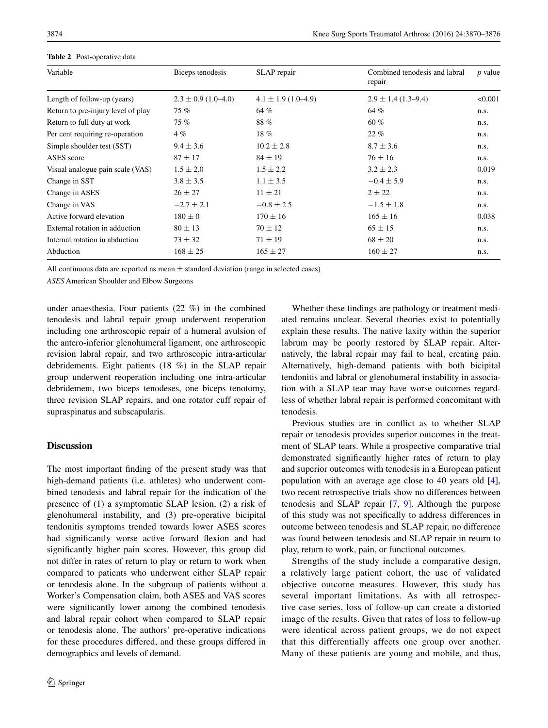| Variable                           | Biceps tenodesis        | SLAP repair             | Combined tenodesis and labral<br>repair | <i>p</i> value |
|------------------------------------|-------------------------|-------------------------|-----------------------------------------|----------------|
| Length of follow-up (years)        | $2.3 \pm 0.9$ (1.0–4.0) | $4.1 \pm 1.9$ (1.0–4.9) | $2.9 \pm 1.4$ (1.3–9.4)                 | < 0.001        |
| Return to pre-injury level of play | 75 %                    | 64 %                    | 64 %                                    | n.s.           |
| Return to full duty at work        | 75 %                    | 88%                     | $60\%$                                  | n.s.           |
| Per cent requiring re-operation    | $4\%$                   | $18\%$                  | 22%                                     | n.s.           |
| Simple shoulder test (SST)         | $9.4 \pm 3.6$           | $10.2 \pm 2.8$          | $8.7 \pm 3.6$                           | n.s.           |
| ASES score                         | $87 \pm 17$             | $84 \pm 19$             | $76 \pm 16$                             | n.s.           |
| Visual analogue pain scale (VAS)   | $1.5 \pm 2.0$           | $1.5 \pm 2.2$           | $3.2 \pm 2.3$                           | 0.019          |
| Change in SST                      | $3.8 \pm 3.5$           | $1.1 \pm 3.5$           | $-0.4 \pm 5.9$                          | n.s.           |
| Change in ASES                     | $26 \pm 27$             | $11 \pm 21$             | $2 \pm 22$                              | n.s.           |
| Change in VAS                      | $-2.7 \pm 2.1$          | $-0.8 \pm 2.5$          | $-1.5 \pm 1.8$                          | n.s.           |
| Active forward elevation           | $180 \pm 0$             | $170 \pm 16$            | $165 \pm 16$                            | 0.038          |
| External rotation in adduction     | $80 \pm 13$             | $70 \pm 12$             | $65 \pm 15$                             | n.s.           |
| Internal rotation in abduction     | $73 \pm 32$             | $71 \pm 19$             | $68 \pm 20$                             | n.s.           |
| Abduction                          | $168 \pm 25$            | $165 \pm 27$            | $160 \pm 27$                            | n.s.           |

#### **Table 2** Post-operative data

All continuous data are reported as mean  $\pm$  standard deviation (range in selected cases)

*ASES* American Shoulder and Elbow Surgeons

under anaesthesia. Four patients (22 %) in the combined tenodesis and labral repair group underwent reoperation including one arthroscopic repair of a humeral avulsion of the antero-inferior glenohumeral ligament, one arthroscopic revision labral repair, and two arthroscopic intra-articular debridements. Eight patients (18 %) in the SLAP repair group underwent reoperation including one intra-articular debridement, two biceps tenodeses, one biceps tenotomy, three revision SLAP repairs, and one rotator cuff repair of supraspinatus and subscapularis.

# **Discussion**

The most important finding of the present study was that high-demand patients (i.e. athletes) who underwent combined tenodesis and labral repair for the indication of the presence of (1) a symptomatic SLAP lesion, (2) a risk of glenohumeral instability, and (3) pre-operative bicipital tendonitis symptoms trended towards lower ASES scores had significantly worse active forward flexion and had significantly higher pain scores. However, this group did not differ in rates of return to play or return to work when compared to patients who underwent either SLAP repair or tenodesis alone. In the subgroup of patients without a Worker's Compensation claim, both ASES and VAS scores were significantly lower among the combined tenodesis and labral repair cohort when compared to SLAP repair or tenodesis alone. The authors' pre-operative indications for these procedures differed, and these groups differed in demographics and levels of demand.

Whether these findings are pathology or treatment mediated remains unclear. Several theories exist to potentially explain these results. The native laxity within the superior labrum may be poorly restored by SLAP repair. Alternatively, the labral repair may fail to heal, creating pain. Alternatively, high-demand patients with both bicipital tendonitis and labral or glenohumeral instability in association with a SLAP tear may have worse outcomes regardless of whether labral repair is performed concomitant with tenodesis.

Previous studies are in conflict as to whether SLAP repair or tenodesis provides superior outcomes in the treatment of SLAP tears. While a prospective comparative trial demonstrated significantly higher rates of return to play and superior outcomes with tenodesis in a European patient population with an average age close to 40 years old [4], two recent retrospective trials show no differences between tenodesis and SLAP repair [7, 9]. Although the purpose of this study was not specifically to address differences in outcome between tenodesis and SLAP repair, no difference was found between tenodesis and SLAP repair in return to play, return to work, pain, or functional outcomes.

Strengths of the study include a comparative design, a relatively large patient cohort, the use of validated objective outcome measures. However, this study has several important limitations. As with all retrospective case series, loss of follow-up can create a distorted image of the results. Given that rates of loss to follow-up were identical across patient groups, we do not expect that this differentially affects one group over another. Many of these patients are young and mobile, and thus,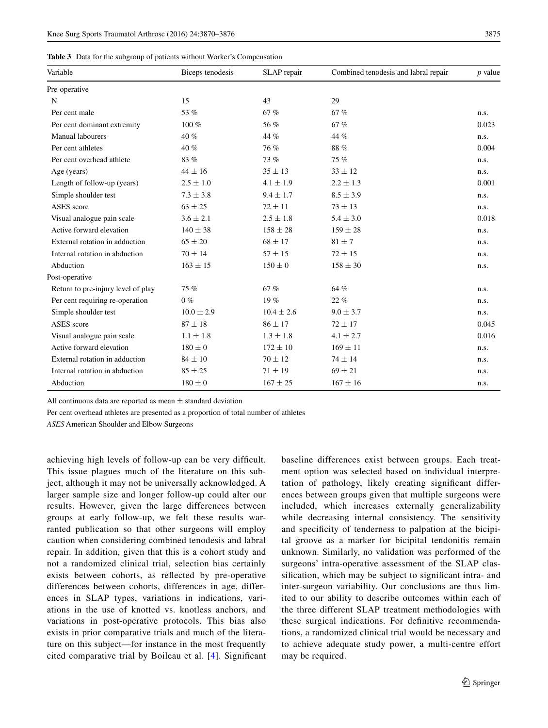| Variable                           | Biceps tenodesis | SLAP repair    | Combined tenodesis and labral repair | $p$ value |
|------------------------------------|------------------|----------------|--------------------------------------|-----------|
| Pre-operative                      |                  |                |                                      |           |
| N                                  | 15               | 43             | 29                                   |           |
| Per cent male                      | 53 %             | 67%            | 67%                                  | n.s.      |
| Per cent dominant extremity        | $100\%$          | 56 %           | 67%                                  | 0.023     |
| <b>Manual labourers</b>            | 40 %             | 44 %           | 44 %                                 | n.s.      |
| Per cent athletes                  | 40 %             | 76 %           | 88%                                  | 0.004     |
| Per cent overhead athlete          | 83 %             | 73 %           | 75%                                  | n.s.      |
| Age (years)                        | $44 \pm 16$      | $35 \pm 13$    | $33 \pm 12$                          | n.s.      |
| Length of follow-up (years)        | $2.5 \pm 1.0$    | $4.1 \pm 1.9$  | $2.2 \pm 1.3$                        | 0.001     |
| Simple shoulder test               | $7.3 \pm 3.8$    | $9.4 \pm 1.7$  | $8.5 \pm 3.9$                        | n.s.      |
| <b>ASES</b> score                  | $63 \pm 25$      | $72 \pm 11$    | $73 \pm 13$                          | n.s.      |
| Visual analogue pain scale         | $3.6 \pm 2.1$    | $2.5 \pm 1.8$  | $5.4 \pm 3.0$                        | 0.018     |
| Active forward elevation           | $140 \pm 38$     | $158 \pm 28$   | $159 \pm 28$                         | n.s.      |
| External rotation in adduction     | $65 \pm 20$      | $68 \pm 17$    | $81 \pm 7$                           | n.s.      |
| Internal rotation in abduction     | $70 \pm 14$      | $57 \pm 15$    | $72 \pm 15$                          | n.s.      |
| Abduction                          | $163 \pm 15$     | $150 \pm 0$    | $158 \pm 30$                         | n.s.      |
| Post-operative                     |                  |                |                                      |           |
| Return to pre-injury level of play | 75 %             | 67%            | 64 %                                 | n.s.      |
| Per cent requiring re-operation    | $0\%$            | 19%            | 22%                                  | n.s.      |
| Simple shoulder test               | $10.0 \pm 2.9$   | $10.4 \pm 2.6$ | $9.0 \pm 3.7$                        | n.s.      |
| ASES score                         | $87 \pm 18$      | $86 \pm 17$    | $72 \pm 17$                          | 0.045     |
| Visual analogue pain scale         | $1.1 \pm 1.8$    | $1.3 \pm 1.8$  | $4.1 \pm 2.7$                        | 0.016     |
| Active forward elevation           | $180 \pm 0$      | $172 \pm 10$   | $169 \pm 11$                         | n.s.      |
| External rotation in adduction     | $84 \pm 10$      | $70 \pm 12$    | $74 \pm 14$                          | n.s.      |
| Internal rotation in abduction     | $85 \pm 25$      | $71 \pm 19$    | $69 \pm 21$                          | n.s.      |
| Abduction                          | $180 \pm 0$      | $167 \pm 25$   | $167 \pm 16$                         | n.s.      |

All continuous data are reported as mean  $\pm$  standard deviation

Per cent overhead athletes are presented as a proportion of total number of athletes

*ASES* American Shoulder and Elbow Surgeons

achieving high levels of follow-up can be very difficult. This issue plagues much of the literature on this subject, although it may not be universally acknowledged. A larger sample size and longer follow-up could alter our results. However, given the large differences between groups at early follow-up, we felt these results warranted publication so that other surgeons will employ caution when considering combined tenodesis and labral repair. In addition, given that this is a cohort study and not a randomized clinical trial, selection bias certainly exists between cohorts, as reflected by pre-operative differences between cohorts, differences in age, differences in SLAP types, variations in indications, variations in the use of knotted vs. knotless anchors, and variations in post-operative protocols. This bias also exists in prior comparative trials and much of the literature on this subject—for instance in the most frequently cited comparative trial by Boileau et al. [4]. Significant baseline differences exist between groups. Each treatment option was selected based on individual interpretation of pathology, likely creating significant differences between groups given that multiple surgeons were included, which increases externally generalizability while decreasing internal consistency. The sensitivity and specificity of tenderness to palpation at the bicipital groove as a marker for bicipital tendonitis remain unknown. Similarly, no validation was performed of the surgeons' intra-operative assessment of the SLAP classification, which may be subject to significant intra- and inter-surgeon variability. Our conclusions are thus limited to our ability to describe outcomes within each of the three different SLAP treatment methodologies with these surgical indications. For definitive recommendations, a randomized clinical trial would be necessary and to achieve adequate study power, a multi-centre effort may be required.